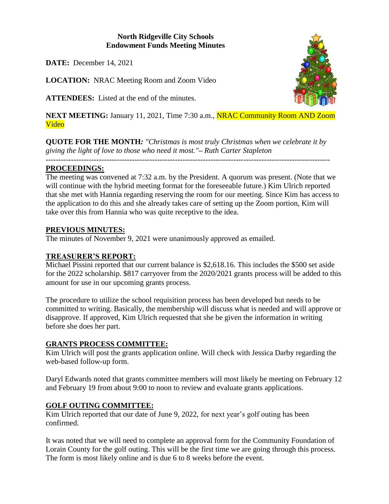## **North Ridgeville City Schools Endowment Funds Meeting Minutes**

**DATE:** December 14, 2021

**LOCATION:** NRAC Meeting Room and Zoom Video

**ATTENDEES:** Listed at the end of the minutes.

**NEXT MEETING:** January 11, 2021, Time 7:30 a.m., **NRAC Community Room AND Zoom** Video

**QUOTE FOR THE MONTH***: "Christmas is most truly Christmas when we celebrate it by giving the light of love to those who need it most."– Ruth Carter Stapleton*

*----------------------------------------------------------------------------------------------------------------*

# **PROCEEDINGS:**

The meeting was convened at 7:32 a.m. by the President. A quorum was present. (Note that we will continue with the hybrid meeting format for the foreseeable future.) Kim Ulrich reported that she met with Hannia regarding reserving the room for our meeting. Since Kim has access to the application to do this and she already takes care of setting up the Zoom portion, Kim will take over this from Hannia who was quite receptive to the idea.

## **PREVIOUS MINUTES:**

The minutes of November 9, 2021 were unanimously approved as emailed.

## **TREASURER'S REPORT:**

Michael Pissini reported that our current balance is \$2,618.16. This includes the \$500 set aside for the 2022 scholarship. \$817 carryover from the 2020/2021 grants process will be added to this amount for use in our upcoming grants process.

The procedure to utilize the school requisition process has been developed but needs to be committed to writing. Basically, the membership will discuss what is needed and will approve or disapprove. If approved, Kim Ulrich requested that she be given the information in writing before she does her part.

## **GRANTS PROCESS COMMITTEE:**

Kim Ulrich will post the grants application online. Will check with Jessica Darby regarding the web-based follow-up form.

Daryl Edwards noted that grants committee members will most likely be meeting on February 12 and February 19 from about 9:00 to noon to review and evaluate grants applications.

# **GOLF OUTING COMMITTEE:**

Kim Ulrich reported that our date of June 9, 2022, for next year's golf outing has been confirmed.

It was noted that we will need to complete an approval form for the Community Foundation of Lorain County for the golf outing. This will be the first time we are going through this process. The form is most likely online and is due 6 to 8 weeks before the event.

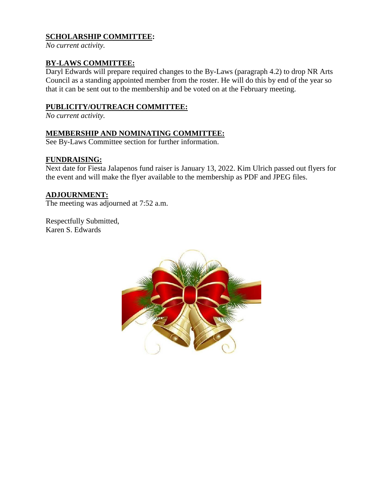# **SCHOLARSHIP COMMITTEE:**

*No current activity.*

#### **BY-LAWS COMMITTEE:**

Daryl Edwards will prepare required changes to the By-Laws (paragraph 4.2) to drop NR Arts Council as a standing appointed member from the roster. He will do this by end of the year so that it can be sent out to the membership and be voted on at the February meeting.

#### **PUBLICITY/OUTREACH COMMITTEE:**

*No current activity.*

#### **MEMBERSHIP AND NOMINATING COMMITTEE:**

See By-Laws Committee section for further information.

#### **FUNDRAISING:**

Next date for Fiesta Jalapenos fund raiser is January 13, 2022. Kim Ulrich passed out flyers for the event and will make the flyer available to the membership as PDF and JPEG files.

#### **ADJOURNMENT:**

The meeting was adjourned at 7:52 a.m.

Respectfully Submitted, Karen S. Edwards